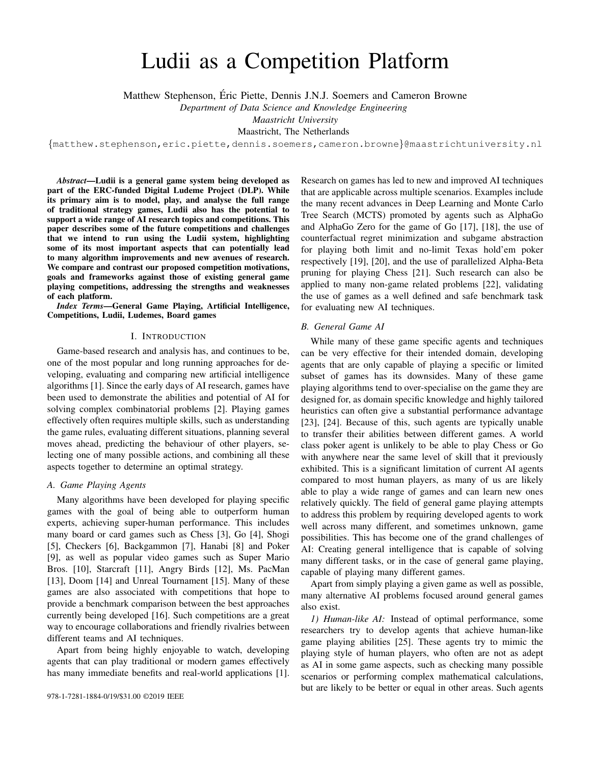# Ludii as a Competition Platform

Matthew Stephenson, Eric Piette, Dennis J.N.J. Soemers and Cameron Browne ´

*Department of Data Science and Knowledge Engineering*

*Maastricht University*

Maastricht, The Netherlands

{matthew.stephenson,eric.piette,dennis.soemers,cameron.browne}@maastrichtuniversity.nl

*Abstract*—Ludii is a general game system being developed as part of the ERC-funded Digital Ludeme Project (DLP). While its primary aim is to model, play, and analyse the full range of traditional strategy games, Ludii also has the potential to support a wide range of AI research topics and competitions. This paper describes some of the future competitions and challenges that we intend to run using the Ludii system, highlighting some of its most important aspects that can potentially lead to many algorithm improvements and new avenues of research. We compare and contrast our proposed competition motivations, goals and frameworks against those of existing general game playing competitions, addressing the strengths and weaknesses of each platform.

*Index Terms*—General Game Playing, Artificial Intelligence, Competitions, Ludii, Ludemes, Board games

#### I. INTRODUCTION

Game-based research and analysis has, and continues to be, one of the most popular and long running approaches for developing, evaluating and comparing new artificial intelligence algorithms [1]. Since the early days of AI research, games have been used to demonstrate the abilities and potential of AI for solving complex combinatorial problems [2]. Playing games effectively often requires multiple skills, such as understanding the game rules, evaluating different situations, planning several moves ahead, predicting the behaviour of other players, selecting one of many possible actions, and combining all these aspects together to determine an optimal strategy.

#### *A. Game Playing Agents*

Many algorithms have been developed for playing specific games with the goal of being able to outperform human experts, achieving super-human performance. This includes many board or card games such as Chess [3], Go [4], Shogi [5], Checkers [6], Backgammon [7], Hanabi [8] and Poker [9], as well as popular video games such as Super Mario Bros. [10], Starcraft [11], Angry Birds [12], Ms. PacMan [13], Doom [14] and Unreal Tournament [15]. Many of these games are also associated with competitions that hope to provide a benchmark comparison between the best approaches currently being developed [16]. Such competitions are a great way to encourage collaborations and friendly rivalries between different teams and AI techniques.

Apart from being highly enjoyable to watch, developing agents that can play traditional or modern games effectively has many immediate benefits and real-world applications [1]. Research on games has led to new and improved AI techniques that are applicable across multiple scenarios. Examples include the many recent advances in Deep Learning and Monte Carlo Tree Search (MCTS) promoted by agents such as AlphaGo and AlphaGo Zero for the game of Go [17], [18], the use of counterfactual regret minimization and subgame abstraction for playing both limit and no-limit Texas hold'em poker respectively [19], [20], and the use of parallelized Alpha-Beta pruning for playing Chess [21]. Such research can also be applied to many non-game related problems [22], validating the use of games as a well defined and safe benchmark task for evaluating new AI techniques.

#### *B. General Game AI*

While many of these game specific agents and techniques can be very effective for their intended domain, developing agents that are only capable of playing a specific or limited subset of games has its downsides. Many of these game playing algorithms tend to over-specialise on the game they are designed for, as domain specific knowledge and highly tailored heuristics can often give a substantial performance advantage [23], [24]. Because of this, such agents are typically unable to transfer their abilities between different games. A world class poker agent is unlikely to be able to play Chess or Go with anywhere near the same level of skill that it previously exhibited. This is a significant limitation of current AI agents compared to most human players, as many of us are likely able to play a wide range of games and can learn new ones relatively quickly. The field of general game playing attempts to address this problem by requiring developed agents to work well across many different, and sometimes unknown, game possibilities. This has become one of the grand challenges of AI: Creating general intelligence that is capable of solving many different tasks, or in the case of general game playing, capable of playing many different games.

Apart from simply playing a given game as well as possible, many alternative AI problems focused around general games also exist.

*1) Human-like AI:* Instead of optimal performance, some researchers try to develop agents that achieve human-like game playing abilities [25]. These agents try to mimic the playing style of human players, who often are not as adept as AI in some game aspects, such as checking many possible scenarios or performing complex mathematical calculations, but are likely to be better or equal in other areas. Such agents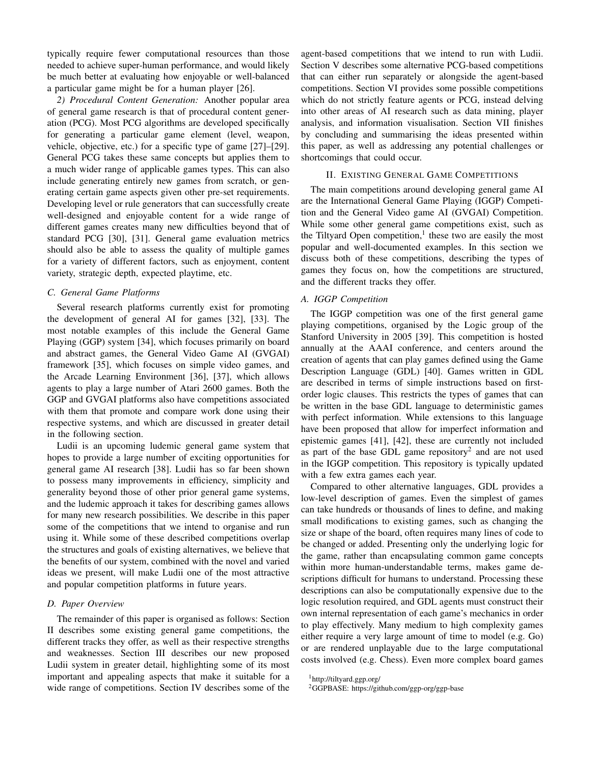typically require fewer computational resources than those needed to achieve super-human performance, and would likely be much better at evaluating how enjoyable or well-balanced a particular game might be for a human player [26].

*2) Procedural Content Generation:* Another popular area of general game research is that of procedural content generation (PCG). Most PCG algorithms are developed specifically for generating a particular game element (level, weapon, vehicle, objective, etc.) for a specific type of game [27]–[29]. General PCG takes these same concepts but applies them to a much wider range of applicable games types. This can also include generating entirely new games from scratch, or generating certain game aspects given other pre-set requirements. Developing level or rule generators that can successfully create well-designed and enjoyable content for a wide range of different games creates many new difficulties beyond that of standard PCG [30], [31]. General game evaluation metrics should also be able to assess the quality of multiple games for a variety of different factors, such as enjoyment, content variety, strategic depth, expected playtime, etc.

# *C. General Game Platforms*

Several research platforms currently exist for promoting the development of general AI for games [32], [33]. The most notable examples of this include the General Game Playing (GGP) system [34], which focuses primarily on board and abstract games, the General Video Game AI (GVGAI) framework [35], which focuses on simple video games, and the Arcade Learning Environment [36], [37], which allows agents to play a large number of Atari 2600 games. Both the GGP and GVGAI platforms also have competitions associated with them that promote and compare work done using their respective systems, and which are discussed in greater detail in the following section.

Ludii is an upcoming ludemic general game system that hopes to provide a large number of exciting opportunities for general game AI research [38]. Ludii has so far been shown to possess many improvements in efficiency, simplicity and generality beyond those of other prior general game systems, and the ludemic approach it takes for describing games allows for many new research possibilities. We describe in this paper some of the competitions that we intend to organise and run using it. While some of these described competitions overlap the structures and goals of existing alternatives, we believe that the benefits of our system, combined with the novel and varied ideas we present, will make Ludii one of the most attractive and popular competition platforms in future years.

## *D. Paper Overview*

The remainder of this paper is organised as follows: Section II describes some existing general game competitions, the different tracks they offer, as well as their respective strengths and weaknesses. Section III describes our new proposed Ludii system in greater detail, highlighting some of its most important and appealing aspects that make it suitable for a wide range of competitions. Section IV describes some of the agent-based competitions that we intend to run with Ludii. Section V describes some alternative PCG-based competitions that can either run separately or alongside the agent-based competitions. Section VI provides some possible competitions which do not strictly feature agents or PCG, instead delving into other areas of AI research such as data mining, player analysis, and information visualisation. Section VII finishes by concluding and summarising the ideas presented within this paper, as well as addressing any potential challenges or shortcomings that could occur.

# II. EXISTING GENERAL GAME COMPETITIONS

The main competitions around developing general game AI are the International General Game Playing (IGGP) Competition and the General Video game AI (GVGAI) Competition. While some other general game competitions exist, such as the Tiltyard Open competition, $<sup>1</sup>$  these two are easily the most</sup> popular and well-documented examples. In this section we discuss both of these competitions, describing the types of games they focus on, how the competitions are structured, and the different tracks they offer.

# *A. IGGP Competition*

The IGGP competition was one of the first general game playing competitions, organised by the Logic group of the Stanford University in 2005 [39]. This competition is hosted annually at the AAAI conference, and centers around the creation of agents that can play games defined using the Game Description Language (GDL) [40]. Games written in GDL are described in terms of simple instructions based on firstorder logic clauses. This restricts the types of games that can be written in the base GDL language to deterministic games with perfect information. While extensions to this language have been proposed that allow for imperfect information and epistemic games [41], [42], these are currently not included as part of the base GDL game repository<sup>2</sup> and are not used in the IGGP competition. This repository is typically updated with a few extra games each year.

Compared to other alternative languages, GDL provides a low-level description of games. Even the simplest of games can take hundreds or thousands of lines to define, and making small modifications to existing games, such as changing the size or shape of the board, often requires many lines of code to be changed or added. Presenting only the underlying logic for the game, rather than encapsulating common game concepts within more human-understandable terms, makes game descriptions difficult for humans to understand. Processing these descriptions can also be computationally expensive due to the logic resolution required, and GDL agents must construct their own internal representation of each game's mechanics in order to play effectively. Many medium to high complexity games either require a very large amount of time to model (e.g. Go) or are rendered unplayable due to the large computational costs involved (e.g. Chess). Even more complex board games

<sup>1</sup>http://tiltyard.ggp.org/

<sup>2</sup>GGPBASE: https://github.com/ggp-org/ggp-base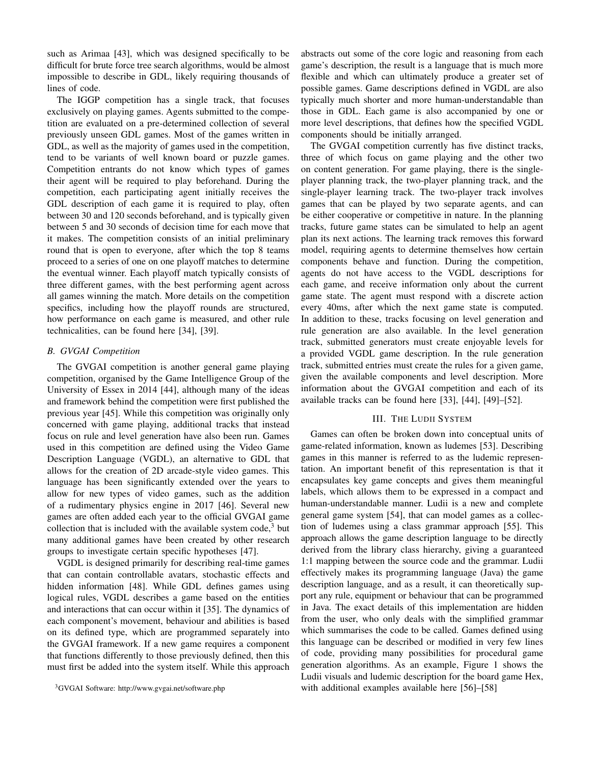such as Arimaa [43], which was designed specifically to be difficult for brute force tree search algorithms, would be almost impossible to describe in GDL, likely requiring thousands of lines of code.

The IGGP competition has a single track, that focuses exclusively on playing games. Agents submitted to the competition are evaluated on a pre-determined collection of several previously unseen GDL games. Most of the games written in GDL, as well as the majority of games used in the competition, tend to be variants of well known board or puzzle games. Competition entrants do not know which types of games their agent will be required to play beforehand. During the competition, each participating agent initially receives the GDL description of each game it is required to play, often between 30 and 120 seconds beforehand, and is typically given between 5 and 30 seconds of decision time for each move that it makes. The competition consists of an initial preliminary round that is open to everyone, after which the top 8 teams proceed to a series of one on one playoff matches to determine the eventual winner. Each playoff match typically consists of three different games, with the best performing agent across all games winning the match. More details on the competition specifics, including how the playoff rounds are structured, how performance on each game is measured, and other rule technicalities, can be found here [34], [39].

# *B. GVGAI Competition*

The GVGAI competition is another general game playing competition, organised by the Game Intelligence Group of the University of Essex in 2014 [44], although many of the ideas and framework behind the competition were first published the previous year [45]. While this competition was originally only concerned with game playing, additional tracks that instead focus on rule and level generation have also been run. Games used in this competition are defined using the Video Game Description Language (VGDL), an alternative to GDL that allows for the creation of 2D arcade-style video games. This language has been significantly extended over the years to allow for new types of video games, such as the addition of a rudimentary physics engine in 2017 [46]. Several new games are often added each year to the official GVGAI game collection that is included with the available system code, $3$  but many additional games have been created by other research groups to investigate certain specific hypotheses [47].

VGDL is designed primarily for describing real-time games that can contain controllable avatars, stochastic effects and hidden information [48]. While GDL defines games using logical rules, VGDL describes a game based on the entities and interactions that can occur within it [35]. The dynamics of each component's movement, behaviour and abilities is based on its defined type, which are programmed separately into the GVGAI framework. If a new game requires a component that functions differently to those previously defined, then this must first be added into the system itself. While this approach abstracts out some of the core logic and reasoning from each game's description, the result is a language that is much more flexible and which can ultimately produce a greater set of possible games. Game descriptions defined in VGDL are also typically much shorter and more human-understandable than those in GDL. Each game is also accompanied by one or more level descriptions, that defines how the specified VGDL components should be initially arranged.

The GVGAI competition currently has five distinct tracks, three of which focus on game playing and the other two on content generation. For game playing, there is the singleplayer planning track, the two-player planning track, and the single-player learning track. The two-player track involves games that can be played by two separate agents, and can be either cooperative or competitive in nature. In the planning tracks, future game states can be simulated to help an agent plan its next actions. The learning track removes this forward model, requiring agents to determine themselves how certain components behave and function. During the competition, agents do not have access to the VGDL descriptions for each game, and receive information only about the current game state. The agent must respond with a discrete action every 40ms, after which the next game state is computed. In addition to these, tracks focusing on level generation and rule generation are also available. In the level generation track, submitted generators must create enjoyable levels for a provided VGDL game description. In the rule generation track, submitted entries must create the rules for a given game, given the available components and level description. More information about the GVGAI competition and each of its available tracks can be found here [33], [44], [49]–[52].

# III. THE LUDII SYSTEM

Games can often be broken down into conceptual units of game-related information, known as ludemes [53]. Describing games in this manner is referred to as the ludemic representation. An important benefit of this representation is that it encapsulates key game concepts and gives them meaningful labels, which allows them to be expressed in a compact and human-understandable manner. Ludii is a new and complete general game system [54], that can model games as a collection of ludemes using a class grammar approach [55]. This approach allows the game description language to be directly derived from the library class hierarchy, giving a guaranteed 1:1 mapping between the source code and the grammar. Ludii effectively makes its programming language (Java) the game description language, and as a result, it can theoretically support any rule, equipment or behaviour that can be programmed in Java. The exact details of this implementation are hidden from the user, who only deals with the simplified grammar which summarises the code to be called. Games defined using this language can be described or modified in very few lines of code, providing many possibilities for procedural game generation algorithms. As an example, Figure 1 shows the Ludii visuals and ludemic description for the board game Hex, with additional examples available here [56]–[58]

<sup>3</sup>GVGAI Software: http://www.gvgai.net/software.php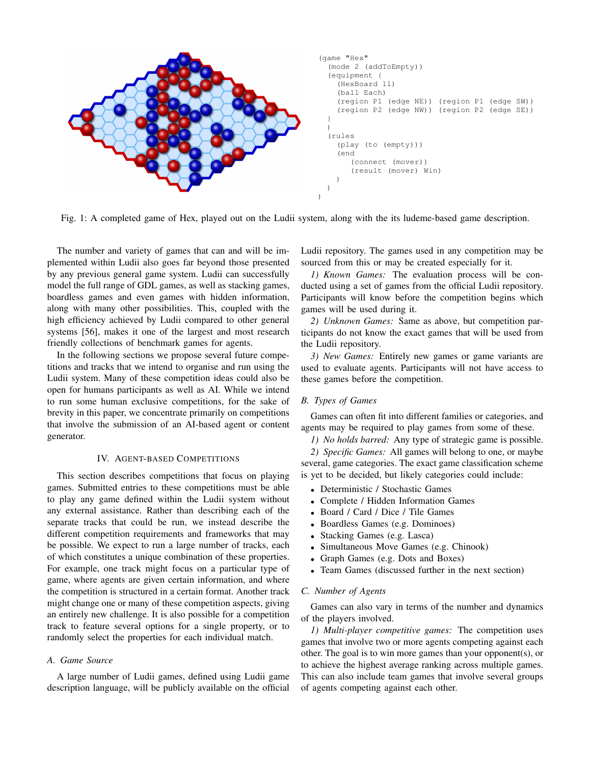

Fig. 1: A completed game of Hex, played out on the Ludii system, along with the its ludeme-based game description.

The number and variety of games that can and will be implemented within Ludii also goes far beyond those presented by any previous general game system. Ludii can successfully model the full range of GDL games, as well as stacking games, boardless games and even games with hidden information, along with many other possibilities. This, coupled with the high efficiency achieved by Ludii compared to other general systems [56], makes it one of the largest and most research friendly collections of benchmark games for agents.

In the following sections we propose several future competitions and tracks that we intend to organise and run using the Ludii system. Many of these competition ideas could also be open for humans participants as well as AI. While we intend to run some human exclusive competitions, for the sake of brevity in this paper, we concentrate primarily on competitions that involve the submission of an AI-based agent or content generator.

## IV. AGENT-BASED COMPETITIONS

This section describes competitions that focus on playing games. Submitted entries to these competitions must be able to play any game defined within the Ludii system without any external assistance. Rather than describing each of the separate tracks that could be run, we instead describe the different competition requirements and frameworks that may be possible. We expect to run a large number of tracks, each of which constitutes a unique combination of these properties. For example, one track might focus on a particular type of game, where agents are given certain information, and where the competition is structured in a certain format. Another track might change one or many of these competition aspects, giving an entirely new challenge. It is also possible for a competition track to feature several options for a single property, or to randomly select the properties for each individual match.

# *A. Game Source*

A large number of Ludii games, defined using Ludii game description language, will be publicly available on the official Ludii repository. The games used in any competition may be sourced from this or may be created especially for it.

*1) Known Games:* The evaluation process will be conducted using a set of games from the official Ludii repository. Participants will know before the competition begins which games will be used during it.

*2) Unknown Games:* Same as above, but competition participants do not know the exact games that will be used from the Ludii repository.

*3) New Games:* Entirely new games or game variants are used to evaluate agents. Participants will not have access to these games before the competition.

#### *B. Types of Games*

Games can often fit into different families or categories, and agents may be required to play games from some of these.

*1) No holds barred:* Any type of strategic game is possible. *2) Specific Games:* All games will belong to one, or maybe several, game categories. The exact game classification scheme is yet to be decided, but likely categories could include:

- Deterministic / Stochastic Games
- Complete / Hidden Information Games
- Board / Card / Dice / Tile Games
- Boardless Games (e.g. Dominoes)
- Stacking Games (e.g. Lasca)
- Simultaneous Move Games (e.g. Chinook)
- Graph Games (e.g. Dots and Boxes)
- Team Games (discussed further in the next section)

#### *C. Number of Agents*

Games can also vary in terms of the number and dynamics of the players involved.

*1) Multi-player competitive games:* The competition uses games that involve two or more agents competing against each other. The goal is to win more games than your opponent(s), or to achieve the highest average ranking across multiple games. This can also include team games that involve several groups of agents competing against each other.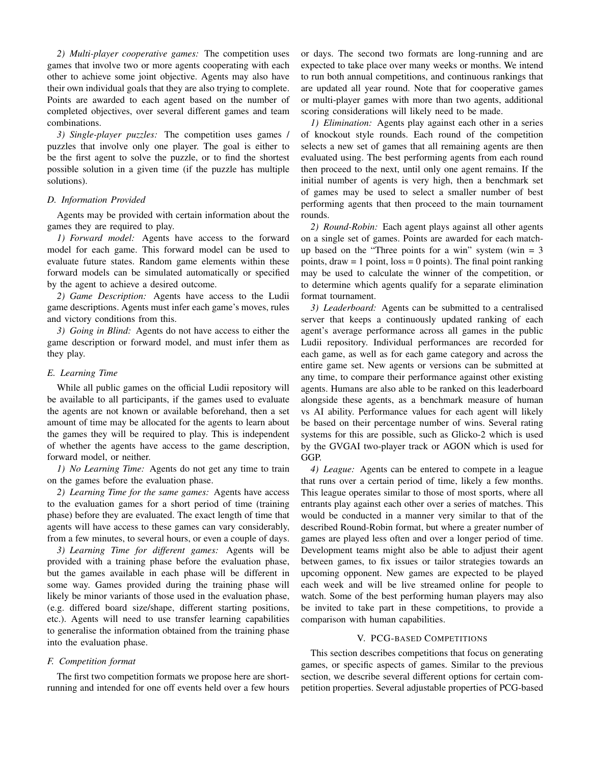*2) Multi-player cooperative games:* The competition uses games that involve two or more agents cooperating with each other to achieve some joint objective. Agents may also have their own individual goals that they are also trying to complete. Points are awarded to each agent based on the number of completed objectives, over several different games and team combinations.

*3) Single-player puzzles:* The competition uses games / puzzles that involve only one player. The goal is either to be the first agent to solve the puzzle, or to find the shortest possible solution in a given time (if the puzzle has multiple solutions).

## *D. Information Provided*

Agents may be provided with certain information about the games they are required to play.

*1) Forward model:* Agents have access to the forward model for each game. This forward model can be used to evaluate future states. Random game elements within these forward models can be simulated automatically or specified by the agent to achieve a desired outcome.

*2) Game Description:* Agents have access to the Ludii game descriptions. Agents must infer each game's moves, rules and victory conditions from this.

*3) Going in Blind:* Agents do not have access to either the game description or forward model, and must infer them as they play.

# *E. Learning Time*

While all public games on the official Ludii repository will be available to all participants, if the games used to evaluate the agents are not known or available beforehand, then a set amount of time may be allocated for the agents to learn about the games they will be required to play. This is independent of whether the agents have access to the game description, forward model, or neither.

*1) No Learning Time:* Agents do not get any time to train on the games before the evaluation phase.

*2) Learning Time for the same games:* Agents have access to the evaluation games for a short period of time (training phase) before they are evaluated. The exact length of time that agents will have access to these games can vary considerably, from a few minutes, to several hours, or even a couple of days.

*3) Learning Time for different games:* Agents will be provided with a training phase before the evaluation phase, but the games available in each phase will be different in some way. Games provided during the training phase will likely be minor variants of those used in the evaluation phase, (e.g. differed board size/shape, different starting positions, etc.). Agents will need to use transfer learning capabilities to generalise the information obtained from the training phase into the evaluation phase.

## *F. Competition format*

The first two competition formats we propose here are shortrunning and intended for one off events held over a few hours or days. The second two formats are long-running and are expected to take place over many weeks or months. We intend to run both annual competitions, and continuous rankings that are updated all year round. Note that for cooperative games or multi-player games with more than two agents, additional scoring considerations will likely need to be made.

*1) Elimination:* Agents play against each other in a series of knockout style rounds. Each round of the competition selects a new set of games that all remaining agents are then evaluated using. The best performing agents from each round then proceed to the next, until only one agent remains. If the initial number of agents is very high, then a benchmark set of games may be used to select a smaller number of best performing agents that then proceed to the main tournament rounds.

*2) Round-Robin:* Each agent plays against all other agents on a single set of games. Points are awarded for each matchup based on the "Three points for a win" system (win  $= 3$ ) points, draw  $= 1$  point, loss  $= 0$  points). The final point ranking may be used to calculate the winner of the competition, or to determine which agents qualify for a separate elimination format tournament.

*3) Leaderboard:* Agents can be submitted to a centralised server that keeps a continuously updated ranking of each agent's average performance across all games in the public Ludii repository. Individual performances are recorded for each game, as well as for each game category and across the entire game set. New agents or versions can be submitted at any time, to compare their performance against other existing agents. Humans are also able to be ranked on this leaderboard alongside these agents, as a benchmark measure of human vs AI ability. Performance values for each agent will likely be based on their percentage number of wins. Several rating systems for this are possible, such as Glicko-2 which is used by the GVGAI two-player track or AGON which is used for GGP.

*4) League:* Agents can be entered to compete in a league that runs over a certain period of time, likely a few months. This league operates similar to those of most sports, where all entrants play against each other over a series of matches. This would be conducted in a manner very similar to that of the described Round-Robin format, but where a greater number of games are played less often and over a longer period of time. Development teams might also be able to adjust their agent between games, to fix issues or tailor strategies towards an upcoming opponent. New games are expected to be played each week and will be live streamed online for people to watch. Some of the best performing human players may also be invited to take part in these competitions, to provide a comparison with human capabilities.

## V. PCG-BASED COMPETITIONS

This section describes competitions that focus on generating games, or specific aspects of games. Similar to the previous section, we describe several different options for certain competition properties. Several adjustable properties of PCG-based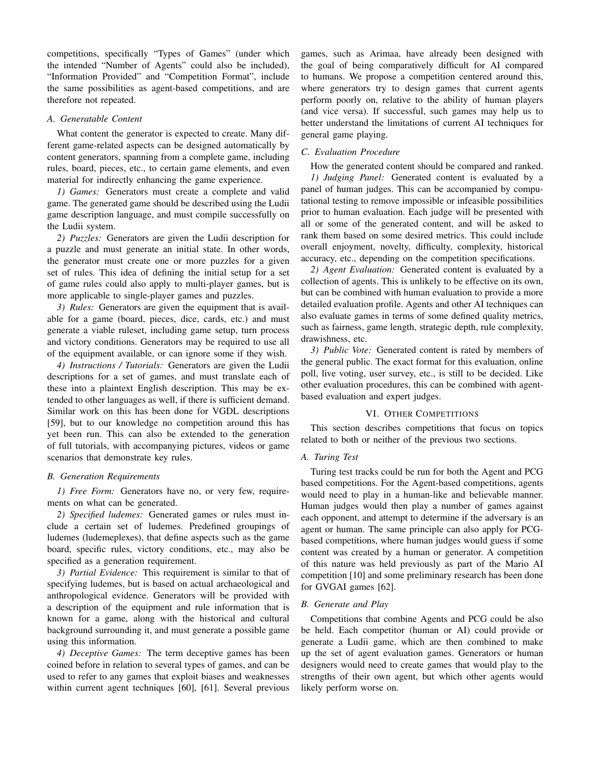competitions, specifically "Types of Games" (under which the intended "Number of Agents" could also be included), "Information Provided" and "Competition Format", include the same possibilities as agent-based competitions, and are therefore not repeated.

## *A. Generatable Content*

What content the generator is expected to create. Many different game-related aspects can be designed automatically by content generators, spanning from a complete game, including rules, board, pieces, etc., to certain game elements, and even material for indirectly enhancing the game experience.

*1) Games:* Generators must create a complete and valid game. The generated game should be described using the Ludii game description language, and must compile successfully on the Ludii system.

*2) Puzzles:* Generators are given the Ludii description for a puzzle and must generate an initial state. In other words, the generator must create one or more puzzles for a given set of rules. This idea of defining the initial setup for a set of game rules could also apply to multi-player games, but is more applicable to single-player games and puzzles.

*3) Rules:* Generators are given the equipment that is available for a game (board, pieces, dice, cards, etc.) and must generate a viable ruleset, including game setup, turn process and victory conditions. Generators may be required to use all of the equipment available, or can ignore some if they wish.

*4) Instructions / Tutorials:* Generators are given the Ludii descriptions for a set of games, and must translate each of these into a plaintext English description. This may be extended to other languages as well, if there is sufficient demand. Similar work on this has been done for VGDL descriptions [59], but to our knowledge no competition around this has yet been run. This can also be extended to the generation of full tutorials, with accompanying pictures, videos or game scenarios that demonstrate key rules.

## *B. Generation Requirements*

*1) Free Form:* Generators have no, or very few, requirements on what can be generated.

*2) Specified ludemes:* Generated games or rules must include a certain set of ludemes. Predefined groupings of ludemes (ludemeplexes), that define aspects such as the game board, specific rules, victory conditions, etc., may also be specified as a generation requirement.

*3) Partial Evidence:* This requirement is similar to that of specifying ludemes, but is based on actual archaeological and anthropological evidence. Generators will be provided with a description of the equipment and rule information that is known for a game, along with the historical and cultural background surrounding it, and must generate a possible game using this information.

*4) Deceptive Games:* The term deceptive games has been coined before in relation to several types of games, and can be used to refer to any games that exploit biases and weaknesses within current agent techniques [60], [61]. Several previous games, such as Arimaa, have already been designed with the goal of being comparatively difficult for AI compared to humans. We propose a competition centered around this, where generators try to design games that current agents perform poorly on, relative to the ability of human players (and vice versa). If successful, such games may help us to better understand the limitations of current AI techniques for general game playing.

#### *C. Evaluation Procedure*

How the generated content should be compared and ranked. *1) Judging Panel:* Generated content is evaluated by a panel of human judges. This can be accompanied by computational testing to remove impossible or infeasible possibilities prior to human evaluation. Each judge will be presented with all or some of the generated content, and will be asked to rank them based on some desired metrics. This could include overall enjoyment, novelty, difficulty, complexity, historical accuracy, etc., depending on the competition specifications.

*2) Agent Evaluation:* Generated content is evaluated by a collection of agents. This is unlikely to be effective on its own, but can be combined with human evaluation to provide a more detailed evaluation profile. Agents and other AI techniques can also evaluate games in terms of some defined quality metrics, such as fairness, game length, strategic depth, rule complexity, drawishness, etc.

*3) Public Vote:* Generated content is rated by members of the general public. The exact format for this evaluation, online poll, live voting, user survey, etc., is still to be decided. Like other evaluation procedures, this can be combined with agentbased evaluation and expert judges.

## VI. OTHER COMPETITIONS

This section describes competitions that focus on topics related to both or neither of the previous two sections.

# *A. Turing Test*

Turing test tracks could be run for both the Agent and PCG based competitions. For the Agent-based competitions, agents would need to play in a human-like and believable manner. Human judges would then play a number of games against each opponent, and attempt to determine if the adversary is an agent or human. The same principle can also apply for PCGbased competitions, where human judges would guess if some content was created by a human or generator. A competition of this nature was held previously as part of the Mario AI competition [10] and some preliminary research has been done for GVGAI games [62].

# *B. Generate and Play*

Competitions that combine Agents and PCG could be also be held. Each competitor (human or AI) could provide or generate a Ludii game, which are then combined to make up the set of agent evaluation games. Generators or human designers would need to create games that would play to the strengths of their own agent, but which other agents would likely perform worse on.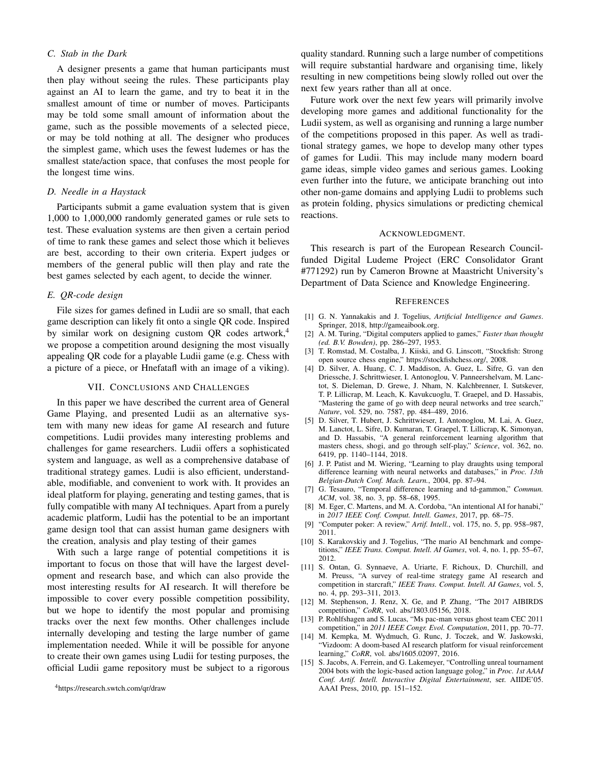# *C. Stab in the Dark*

A designer presents a game that human participants must then play without seeing the rules. These participants play against an AI to learn the game, and try to beat it in the smallest amount of time or number of moves. Participants may be told some small amount of information about the game, such as the possible movements of a selected piece, or may be told nothing at all. The designer who produces the simplest game, which uses the fewest ludemes or has the smallest state/action space, that confuses the most people for the longest time wins.

## *D. Needle in a Haystack*

Participants submit a game evaluation system that is given 1,000 to 1,000,000 randomly generated games or rule sets to test. These evaluation systems are then given a certain period of time to rank these games and select those which it believes are best, according to their own criteria. Expert judges or members of the general public will then play and rate the best games selected by each agent, to decide the winner.

#### *E. QR-code design*

File sizes for games defined in Ludii are so small, that each game description can likely fit onto a single QR code. Inspired by similar work on designing custom QR codes artwork, $4$ we propose a competition around designing the most visually appealing QR code for a playable Ludii game (e.g. Chess with a picture of a piece, or Hnefatafl with an image of a viking).

## VII. CONCLUSIONS AND CHALLENGES

In this paper we have described the current area of General Game Playing, and presented Ludii as an alternative system with many new ideas for game AI research and future competitions. Ludii provides many interesting problems and challenges for game researchers. Ludii offers a sophisticated system and language, as well as a comprehensive database of traditional strategy games. Ludii is also efficient, understandable, modifiable, and convenient to work with. It provides an ideal platform for playing, generating and testing games, that is fully compatible with many AI techniques. Apart from a purely academic platform, Ludii has the potential to be an important game design tool that can assist human game designers with the creation, analysis and play testing of their games

With such a large range of potential competitions it is important to focus on those that will have the largest development and research base, and which can also provide the most interesting results for AI research. It will therefore be impossible to cover every possible competition possibility, but we hope to identify the most popular and promising tracks over the next few months. Other challenges include internally developing and testing the large number of game implementation needed. While it will be possible for anyone to create their own games using Ludii for testing purposes, the official Ludii game repository must be subject to a rigorous

quality standard. Running such a large number of competitions will require substantial hardware and organising time, likely resulting in new competitions being slowly rolled out over the next few years rather than all at once.

Future work over the next few years will primarily involve developing more games and additional functionality for the Ludii system, as well as organising and running a large number of the competitions proposed in this paper. As well as traditional strategy games, we hope to develop many other types of games for Ludii. This may include many modern board game ideas, simple video games and serious games. Looking even further into the future, we anticipate branching out into other non-game domains and applying Ludii to problems such as protein folding, physics simulations or predicting chemical reactions.

#### ACKNOWLEDGMENT.

This research is part of the European Research Councilfunded Digital Ludeme Project (ERC Consolidator Grant #771292) run by Cameron Browne at Maastricht University's Department of Data Science and Knowledge Engineering.

#### **REFERENCES**

- [1] G. N. Yannakakis and J. Togelius, *Artificial Intelligence and Games*. Springer, 2018, http://gameaibook.org.
- [2] A. M. Turing, "Digital computers applied to games," *Faster than thought (ed. B.V. Bowden)*, pp. 286–297, 1953.
- [3] T. Romstad, M. Costalba, J. Kiiski, and G. Linscott, "Stockfish: Strong open source chess engine," https://stockfishchess.org/, 2008.
- [4] D. Silver, A. Huang, C. J. Maddison, A. Guez, L. Sifre, G. van den Driessche, J. Schrittwieser, I. Antonoglou, V. Panneershelvam, M. Lanctot, S. Dieleman, D. Grewe, J. Nham, N. Kalchbrenner, I. Sutskever, T. P. Lillicrap, M. Leach, K. Kavukcuoglu, T. Graepel, and D. Hassabis, "Mastering the game of go with deep neural networks and tree search," *Nature*, vol. 529, no. 7587, pp. 484–489, 2016.
- [5] D. Silver, T. Hubert, J. Schrittwieser, I. Antonoglou, M. Lai, A. Guez, M. Lanctot, L. Sifre, D. Kumaran, T. Graepel, T. Lillicrap, K. Simonyan, and D. Hassabis, "A general reinforcement learning algorithm that masters chess, shogi, and go through self-play," *Science*, vol. 362, no. 6419, pp. 1140–1144, 2018.
- [6] J. P. Patist and M. Wiering, "Learning to play draughts using temporal difference learning with neural networks and databases," in *Proc. 13th Belgian-Dutch Conf. Mach. Learn.*, 2004, pp. 87–94.
- [7] G. Tesauro, "Temporal difference learning and td-gammon," *Commun. ACM*, vol. 38, no. 3, pp. 58–68, 1995.
- [8] M. Eger, C. Martens, and M. A. Cordoba, "An intentional AI for hanabi," in *2017 IEEE Conf. Comput. Intell. Games*, 2017, pp. 68–75.
- [9] "Computer poker: A review," *Artif. Intell.*, vol. 175, no. 5, pp. 958–987, 2011.
- [10] S. Karakovskiy and J. Togelius, "The mario AI benchmark and competitions," *IEEE Trans. Comput. Intell. AI Games*, vol. 4, no. 1, pp. 55–67, 2012.
- [11] S. Ontan, G. Synnaeve, A. Uriarte, F. Richoux, D. Churchill, and M. Preuss, "A survey of real-time strategy game AI research and competition in starcraft," *IEEE Trans. Comput. Intell. AI Games*, vol. 5, no. 4, pp. 293–311, 2013.
- [12] M. Stephenson, J. Renz, X. Ge, and P. Zhang, "The 2017 AIBIRDS competition," *CoRR*, vol. abs/1803.05156, 2018.
- [13] P. Rohlfshagen and S. Lucas, "Ms pac-man versus ghost team CEC 2011 competition," in *2011 IEEE Congr. Evol. Computation*, 2011, pp. 70–77.
- [14] M. Kempka, M. Wydmuch, G. Runc, J. Toczek, and W. Jaskowski, "Vizdoom: A doom-based AI research platform for visual reinforcement learning," *CoRR*, vol. abs/1605.02097, 2016.
- [15] S. Jacobs, A. Ferrein, and G. Lakemeyer, "Controlling unreal tournament 2004 bots with the logic-based action language golog," in *Proc. 1st AAAI Conf. Artif. Intell. Interactive Digital Entertainment*, ser. AIIDE'05. AAAI Press, 2010, pp. 151–152.